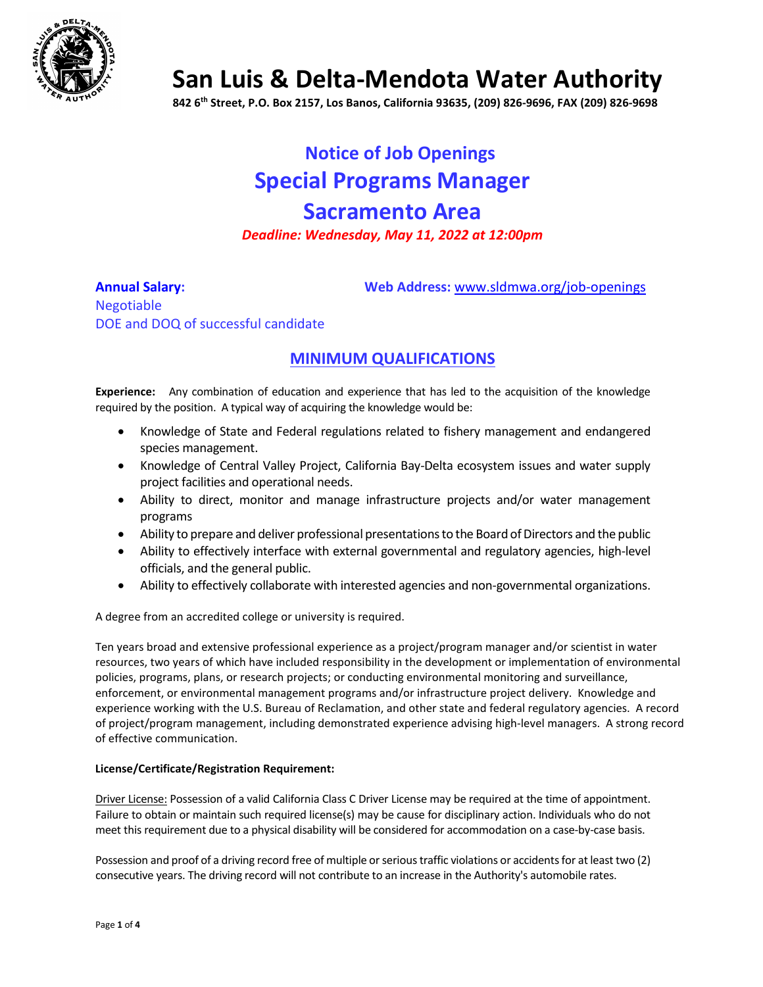

**San Luis & Delta-Mendota Water Authority**

**842 6th Street, P.O. Box 2157, Los Banos, California 93635, (209) 826-9696, FAX (209) 826-9698**

# **Notice of Job Openings Special Programs Manager Sacramento Area** *Deadline: Wednesday, May 11, 2022 at 12:00pm*

**Annual Salary: Web Address:** [www.sldmwa.org/job-openings](http://www.sldmwa.org/job-openings)

Negotiable DOE and DOQ of successful candidate

## **MINIMUM QUALIFICATIONS**

**Experience:** Any combination of education and experience that has led to the acquisition of the knowledge required by the position. A typical way of acquiring the knowledge would be:

- Knowledge of State and Federal regulations related to fishery management and endangered species management.
- Knowledge of Central Valley Project, California Bay-Delta ecosystem issues and water supply project facilities and operational needs.
- Ability to direct, monitor and manage infrastructure projects and/or water management programs
- Ability to prepare and deliver professional presentations to the Board of Directors and the public
- Ability to effectively interface with external governmental and regulatory agencies, high-level officials, and the general public.
- Ability to effectively collaborate with interested agencies and non-governmental organizations.

A degree from an accredited college or university is required.

Ten years broad and extensive professional experience as a project/program manager and/or scientist in water resources, two years of which have included responsibility in the development or implementation of environmental policies, programs, plans, or research projects; or conducting environmental monitoring and surveillance, enforcement, or environmental management programs and/or infrastructure project delivery. Knowledge and experience working with the U.S. Bureau of Reclamation, and other state and federal regulatory agencies. A record of project/program management, including demonstrated experience advising high-level managers. A strong record of effective communication.

#### **License/Certificate/Registration Requirement:**

Driver License: Possession of a valid California Class C Driver License may be required at the time of appointment. Failure to obtain or maintain such required license(s) may be cause for disciplinary action. Individuals who do not meet this requirement due to a physical disability will be considered for accommodation on a case-by-case basis.

Possession and proof of a driving record free of multiple or serious traffic violations or accidents for at least two (2) consecutive years. The driving record will not contribute to an increase in the Authority's automobile rates.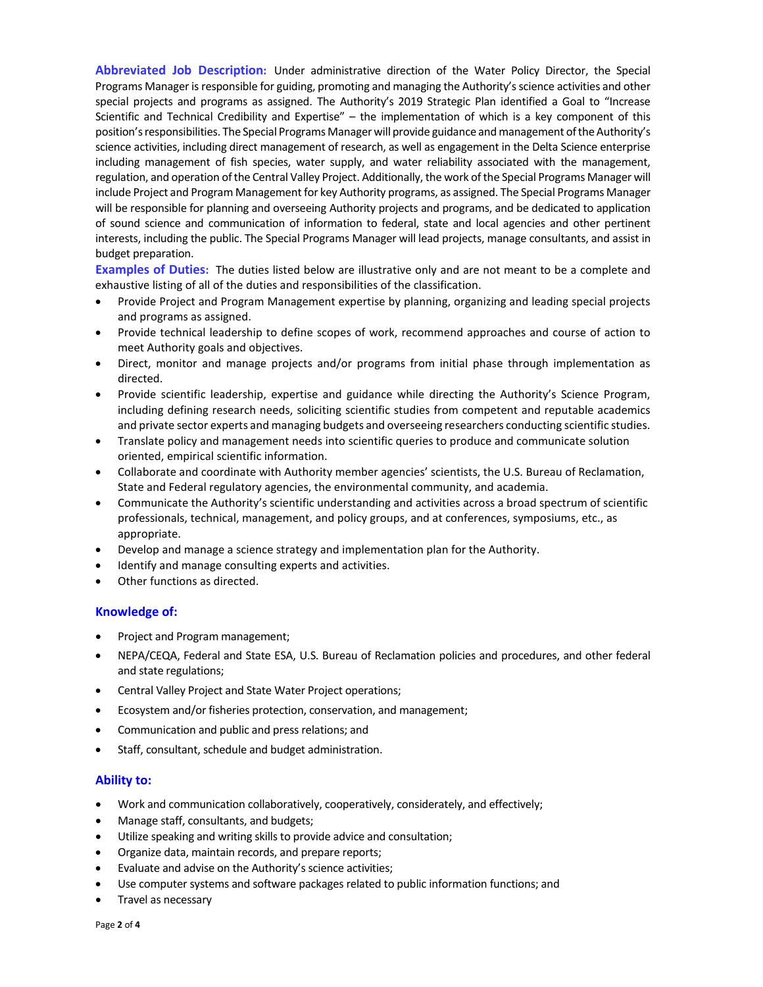**Abbreviated Job Description:** Under administrative direction of the Water Policy Director, the Special Programs Manager is responsible for guiding, promoting and managing the Authority's science activities and other special projects and programs as assigned. The Authority's 2019 Strategic Plan identified a Goal to "Increase Scientific and Technical Credibility and Expertise" – the implementation of which is a key component of this position's responsibilities. The Special Programs Manager will provide guidance and management of the Authority's science activities, including direct management of research, as well as engagement in the Delta Science enterprise including management of fish species, water supply, and water reliability associated with the management, regulation, and operation of the Central Valley Project. Additionally, the work of the Special Programs Manager will include Project and Program Management for key Authority programs, as assigned. The Special Programs Manager will be responsible for planning and overseeing Authority projects and programs, and be dedicated to application of sound science and communication of information to federal, state and local agencies and other pertinent interests, including the public. The Special Programs Manager will lead projects, manage consultants, and assist in budget preparation.

**Examples of Duties:** The duties listed below are illustrative only and are not meant to be a complete and exhaustive listing of all of the duties and responsibilities of the classification.

- Provide Project and Program Management expertise by planning, organizing and leading special projects and programs as assigned.
- Provide technical leadership to define scopes of work, recommend approaches and course of action to meet Authority goals and objectives.
- Direct, monitor and manage projects and/or programs from initial phase through implementation as directed.
- Provide scientific leadership, expertise and guidance while directing the Authority's Science Program, including defining research needs, soliciting scientific studies from competent and reputable academics and private sector experts and managing budgets and overseeing researchers conducting scientific studies.
- Translate policy and management needs into scientific queries to produce and communicate solution oriented, empirical scientific information.
- Collaborate and coordinate with Authority member agencies' scientists, the U.S. Bureau of Reclamation, State and Federal regulatory agencies, the environmental community, and academia.
- Communicate the Authority's scientific understanding and activities across a broad spectrum of scientific professionals, technical, management, and policy groups, and at conferences, symposiums, etc., as appropriate.
- Develop and manage a science strategy and implementation plan for the Authority.
- Identify and manage consulting experts and activities.
- Other functions as directed.

#### **Knowledge of:**

- Project and Program management;
- NEPA/CEQA, Federal and State ESA, U.S. Bureau of Reclamation policies and procedures, and other federal and state regulations;
- Central Valley Project and State Water Project operations;
- Ecosystem and/or fisheries protection, conservation, and management;
- Communication and public and press relations; and
- Staff, consultant, schedule and budget administration.

#### **Ability to:**

- Work and communication collaboratively, cooperatively, considerately, and effectively;
- Manage staff, consultants, and budgets;
- Utilize speaking and writing skills to provide advice and consultation;
- Organize data, maintain records, and prepare reports;
- Evaluate and advise on the Authority's science activities;
- Use computer systems and software packages related to public information functions; and
- Travel as necessary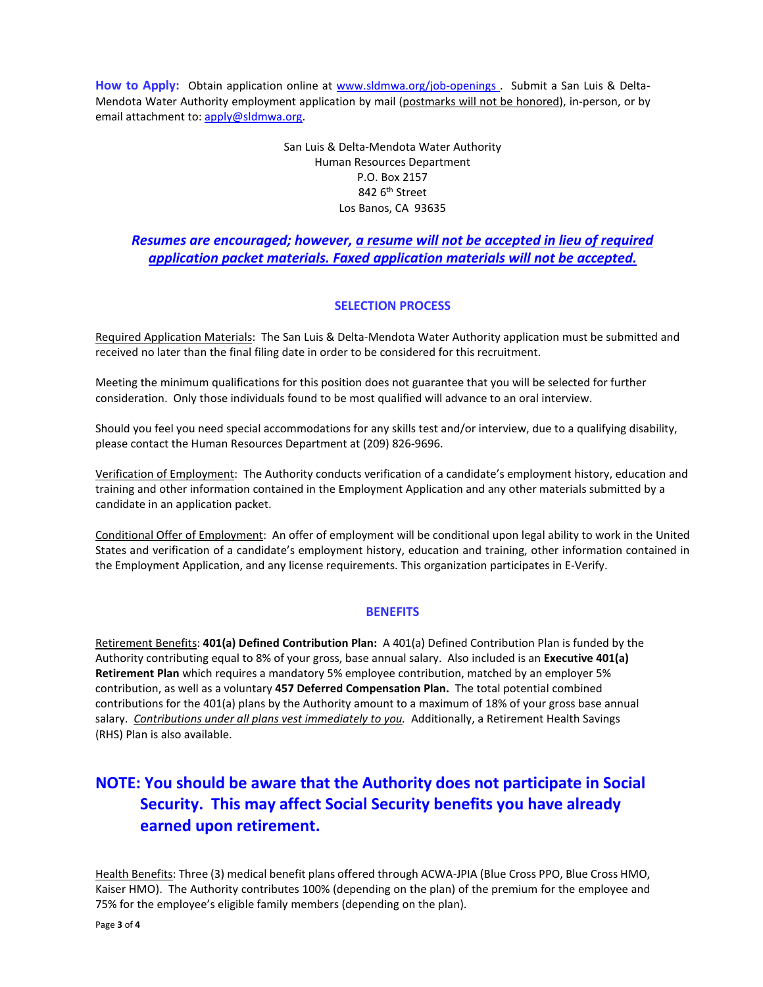How to Apply: Obtain application online at [www.sldmwa.org/job-openings](http://www.sldmwa.org/job-openings) . Submit a San Luis & Delta-Mendota Water Authority employment application by mail (postmarks will not be honored), in-person, or by email attachment to[: apply@sldmwa.org.](mailto:apply@sldmwa.org)

> San Luis & Delta-Mendota Water Authority Human Resources Department P.O. Box 2157 842 6<sup>th</sup> Street Los Banos, CA 93635

### *Resumes are encouraged; however, a resume will not be accepted in lieu of required application packet materials. Faxed application materials will not be accepted.*

#### **SELECTION PROCESS**

Required Application Materials: The San Luis & Delta-Mendota Water Authority application must be submitted and received no later than the final filing date in order to be considered for this recruitment.

Meeting the minimum qualifications for this position does not guarantee that you will be selected for further consideration. Only those individuals found to be most qualified will advance to an oral interview.

Should you feel you need special accommodations for any skills test and/or interview, due to a qualifying disability, please contact the Human Resources Department at (209) 826-9696.

Verification of Employment: The Authority conducts verification of a candidate's employment history, education and training and other information contained in the Employment Application and any other materials submitted by a candidate in an application packet.

Conditional Offer of Employment: An offer of employment will be conditional upon legal ability to work in the United States and verification of a candidate's employment history, education and training, other information contained in the Employment Application, and any license requirements. This organization participates in E-Verify.

#### **BENEFITS**

Retirement Benefits: **401(a) Defined Contribution Plan:** A 401(a) Defined Contribution Plan is funded by the Authority contributing equal to 8% of your gross, base annual salary. Also included is an **Executive 401(a) Retirement Plan** which requires a mandatory 5% employee contribution, matched by an employer 5% contribution, as well as a voluntary **457 Deferred Compensation Plan.** The total potential combined contributions for the 401(a) plans by the Authority amount to a maximum of 18% of your gross base annual salary. *Contributions under all plans vest immediately to you*. Additionally, a Retirement Health Savings (RHS) Plan is also available.

# **NOTE: You should be aware that the Authority does not participate in Social Security. This may affect Social Security benefits you have already earned upon retirement.**

Health Benefits: Three (3) medical benefit plans offered through ACWA-JPIA (Blue Cross PPO, Blue Cross HMO, Kaiser HMO). The Authority contributes 100% (depending on the plan) of the premium for the employee and 75% for the employee's eligible family members (depending on the plan).